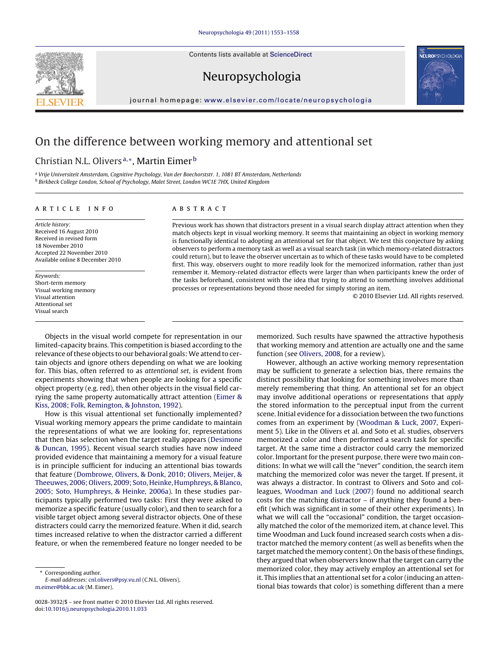Contents lists available at [ScienceDirect](http://www.sciencedirect.com/science/journal/00283932)







journal homepage: [www.elsevier.com/locate/neuropsychologia](http://www.elsevier.com/locate/neuropsychologia)

# On the difference between working memory and attentional set

## Christian N.L. Olivers <sup>a</sup>,∗, Martin Eimer <sup>b</sup>

<sup>a</sup> Vrije Universiteit Amsterdam, Cognitive Psychology, Van der Boechorststr. 1, 1081 BT Amsterdam, Netherlands <sup>b</sup> Birkbeck College London, School of Psychology, Malet Street, London WC1E 7HX, United Kingdom

## article info

Article history: Received 16 August 2010 Received in revised form 18 November 2010 Accepted 22 November 2010 Available online 8 December 2010

Keywords: Short-term memory Visual working memory Visual attention Attentional set Visual search

## ABSTRACT

Previous work has shown that distractors present in a visual search display attract attention when they match objects kept in visual working memory. It seems that maintaining an object in working memory is functionally identical to adopting an attentional set for that object. We test this conjecture by asking observers to perform a memory task as well as a visual search task (in which memory-related distractors could return), but to leave the observer uncertain as to which of these tasks would have to be completed first. This way, observers ought to more readily look for the memorized information, rather than just remember it. Memory-related distractor effects were larger than when participants knew the order of the tasks beforehand, consistent with the idea that trying to attend to something involves additional processes or representations beyond those needed for simply storing an item.

© 2010 Elsevier Ltd. All rights reserved.

Objects in the visual world compete for representation in our limited-capacity brains. This competition is biased according to the relevance of these objects to our behavioral goals:We attend to certain objects and ignore others depending on what we are looking for. This bias, often referred to as attentional set, is evident from experiments showing that when people are looking for a specific object property (e.g. red), then other objects in the visual field carrying the same property automatically attract attention [\(Eimer &](#page-4-0) [Kiss, 2008; Folk, Remington, & Johnston, 1992\).](#page-4-0)

How is this visual attentional set functionally implemented? Visual working memory appears the prime candidate to maintain the representations of what we are looking for, representations that then bias selection when the target really appears [\(Desimone](#page-4-0) [& Duncan, 1995\).](#page-4-0) Recent visual search studies have now indeed provided evidence that maintaining a memory for a visual feature is in principle sufficient for inducing an attentional bias towards that feature [\(Dombrowe, Olivers, & Donk, 2010; Olivers, Meijer, &](#page-4-0) [Theeuwes, 2006; Olivers, 2009; Soto, Heinke, Humphreys, & Blanco,](#page-4-0) [2005; Soto, Humphreys, & Heinke, 2006a\).](#page-4-0) In these studies participants typically performed two tasks: First they were asked to memorize a specific feature (usually color), and then to search for a visible target object among several distractor objects. One of these distracters could carry the memorized feature. When it did, search times increased relative to when the distractor carried a different feature, or when the remembered feature no longer needed to be

∗ Corresponding author.

E-mail addresses: [cnl.olivers@psy.vu.nl](mailto:cnl.olivers@psy.vu.nl) (C.N.L. Olivers), [m.eimer@bbk.ac.uk](mailto:m.eimer@bbk.ac.uk) (M. Eimer).

memorized. Such results have spawned the attractive hypothesis that working memory and attention are actually one and the same function (see [Olivers, 2008, f](#page-4-0)or a review).

However, although an active working memory representation may be sufficient to generate a selection bias, there remains the distinct possibility that looking for something involves more than merely remembering that thing. An attentional set for an object may involve additional operations or representations that apply the stored information to the perceptual input from the current scene. Initial evidence for a dissociation between the two functions comes from an experiment by ([Woodman & Luck, 2007, E](#page-5-0)xperiment 5). Like in the Olivers et al. and Soto et al. studies, observers memorized a color and then performed a search task for specific target. At the same time a distractor could carry the memorized color. Important for the present purpose, there were two main conditions: In what we will call the "never" condition, the search item matching the memorized color was never the target. If present, it was always a distractor. In contrast to Olivers and Soto and colleagues, [Woodman and Luck \(2007\)](#page-5-0) found no additional search costs for the matching distractor – if anything they found a benefit (which was significant in some of their other experiments). In what we will call the "occasional" condition, the target occasionally matched the color of the memorized item, at chance level. This time Woodman and Luck found increased search costs when a distractor matched the memory content (as well as benefits when the target matched the memory content). On the basis of these findings, they argued that when observers know that the target can carry the memorized color, they may actively employ an attentional set for it. This implies that an attentional set for a color (inducing an attentional bias towards that color) is something different than a mere

<sup>0028-3932/\$ –</sup> see front matter © 2010 Elsevier Ltd. All rights reserved. doi:[10.1016/j.neuropsychologia.2010.11.033](dx.doi.org/10.1016/j.neuropsychologia.2010.11.033)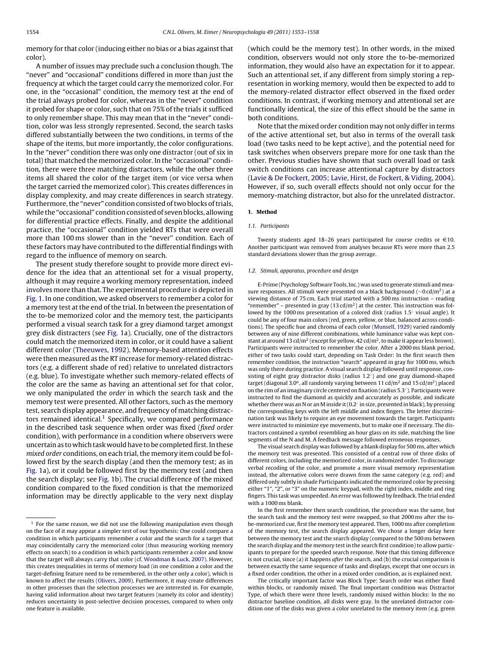memory for that color (inducing either no bias or a bias against that color).

A number of issues may preclude such a conclusion though. The "never" and "occasional" conditions differed in more than just the frequency at which the target could carry the memorized color. For one, in the "occasional" condition, the memory test at the end of the trial always probed for color, whereas in the "never" condition it probed for shape or color, such that on 75% of the trials it sufficed to only remember shape. This may mean that in the "never" condition, color was less strongly represented. Second, the search tasks differed substantially between the two conditions, in terms of the shape of the items, but more importantly, the color configurations. In the "never" condition there was only one distractor (out of six in total) that matched the memorized color. In the "occasional" condition, there were three matching distractors, while the other three items all shared the color of the target item (or vice versa when the target carried the memorized color). This creates differences in display complexity, and may create differences in search strategy. Furthermore, the "never" condition consisted of two blocks of trials, while the "occasional" condition consisted of seven blocks, allowing for differential practice effects. Finally, and despite the additional practice, the "occasional" condition yielded RTs that were overall more than 100 ms slower than in the "never" condition. Each of these factors may have contributed to the differential findings with regard to the influence of memory on search.

The present study therefore sought to provide more direct evidence for the idea that an attentional set for a visual property, although it may require a working memory representation, indeed involves more than that. The experimental procedure is depicted in [Fig. 1. I](#page-2-0)n one condition, we asked observers to remember a color for a memory test at the end of the trial. In between the presentation of the to-be memorized color and the memory test, the participants performed a visual search task for a grey diamond target amongst grey disk distracters (see [Fig. 1a\)](#page-2-0). Crucially, one of the distractors could match the memorized item in color, or it could have a salient different color ([Theeuwes, 1992\).](#page-5-0) Memory-based attention effects were then measured as the RT increase for memory-related distractors (e.g. a different shade of red) relative to unrelated distractors (e.g. blue). To investigate whether such memory-related effects of the color are the same as having an attentional set for that color, we only manipulated the order in which the search task and the memory test were presented. All other factors, such as the memory test, search display appearance, and frequency of matching distractors remained identical.<sup>1</sup> Specifically, we compared performance in the described task sequence when order was fixed (fixed order condition), with performance in a condition where observers were uncertain as to which task would have to be completed first. In these mixed order conditions, on each trial, the memory item could be followed first by the search display (and then the memory test; as in [Fig. 1a\)](#page-2-0), or it could be followed first by the memory test (and then the search display; see [Fig. 1b\)](#page-2-0). The crucial difference of the mixed condition compared to the fixed condition is that the memorized information may be directly applicable to the very next display

(which could be the memory test). In other words, in the mixed condition, observers would not only store the to-be-memorized information, they would also have an expectation for it to appear. Such an attentional set, if any different from simply storing a representation in working memory, would then be expected to add to the memory-related distractor effect observed in the fixed order conditions. In contrast, if working memory and attentional set are functionally identical, the size of this effect should be the same in both conditions.

Note that the mixed order condition may not only differ in terms of the active attentional set, but also in terms of the overall task load (two tasks need to be kept active), and the potential need for task switches when observers prepare more for one task than the other. Previous studies have shown that such overall load or task switch conditions can increase attentional capture by distractors [\(Lavie & De Fockert, 2005; Lavie, Hirst, de Fockert, & Viding, 2004\).](#page-4-0) However, if so, such overall effects should not only occur for the memory-matching distractor, but also for the unrelated distractor.

## **1. Method**

#### 1.1. Participants

Twenty students aged 18–26 years participated for course credits or  $\in$ 10. Another participant was removed from analyses because RTs were more than 2.5 standard deviations slower than the group average.

#### 1.2. Stimuli, apparatus, procedure and design

E-Prime (Psychology Software Tools, Inc.) was used to generate stimuli and measure responses. All stimuli were presented on a black background (∼0 cd/m<sup>2</sup>) at a viewing distance of 75 cm. Each trial started with a 500 ms instruction – reading "remember" – presented in gray (13 cd/m<sup>2</sup>) at the center. This instruction was followed by the 1000 ms presentation of a colored disk (radius 1.5◦ visual angle). It could be any of four main colors (red, green, yellow, or blue, balanced across conditions). The specific hue and chroma of each color ([Munsell, 1929\) v](#page-4-0)aried randomly between any of nine different combinations, while luminance value was kept constant at around 13 cd/m<sup>2</sup> (except for yellow, 42 cd/m<sup>2</sup>, to make it appear less brown). Participants were instructed to remember the color. After a 2000 ms blank period, either of two tasks could start, depending on Task Order: In the first search then remember condition, the instruction "search" appeared in gray for 1000 ms, which was only there during practice. A visual search display followed until response, consisting of eight gray distractor disks (radius 1.2◦) and one gray diamond-shaped target (diagonal 3.0 $^{\circ}$ , all randomly varying between 11 cd/m<sup>2</sup> and 15 cd/m<sup>2</sup>) placed on the rim of an imaginary circle centered on fixation (radius 5.3 $°$ ). Participants were instructed to find the diamond as quickly and accurately as possible, and indicate whether there was an N or an M inside it (0.2° in size, presented in black), by pressing the corresponding keys with the left middle and index fingers. The letter discrimination task was likely to require an eye movement towards the target. Participants were instructed to minimize eye movements, but to make one if necessary. The distractors contained a symbol resembling an hour glass on its side, matching the line segments of the N and M. A feedback message followed erroneous responses.

The visual search display was followed by a blank display for 500 ms, after which the memory test was presented. This consisted of a central row of three disks of different colors, including the memorized color, in randomized order. To discourage verbal recoding of the color, and promote a more visual memory representation instead, the alternative colors were drawn from the same category (e.g. red) and differed only subtly in shade Participants indicated the memorized color by pressing either "1", "2", or "3" on the numeric keypad, with the right index, middle and ring fingers. This task was unspeeded. An error was followed by feedback. The trial ended with a 1000 ms blank.

In the first remember then search condition, the procedure was the same, but the search task and the memory test were swapped, so that 2000 ms after the tobe-memorized cue, first the memory test appeared. Then, 1000 ms after completion of the memory test, the search display appeared. We chose a longer delay here between the memory test and the search display (compared to the 500 ms between the search display and the memory test in the search first condition) to allow participants to prepare for the speeded search response. Note that this timing difference is not crucial, since (a) it happens after the search, and (b) the crucial comparison is between exactly the same sequence of tasks and displays, except that one occurs in a fixed order condition, the other in a mixed order condition, as is explained next.

The critically important factor was Block Type: Search order was either fixed within blocks, or randomly mixed. The final important condition was Distractor Type, of which there were three levels, randomly mixed within blocks: In the no distractor baseline condition, all disks were gray. In the unrelated distractor condition one of the disks was given a color unrelated to the memory item (e.g. green

 $1$  For the same reason, we did not use the following manipulation even though on the face of it may appear a simpler test of our hypothesis: One could compare a condition in which participants remember a color and the search for a target that may coincidentally carry the memorized color (thus measuring working memory effects on search) to a condition in which participants remember a color and know that the target will always carry that color (cf. [Woodman & Luck, 2007\).](#page-5-0) However, this creates inequalities in terms of memory load (in one condition a color and the target-defining feature need to be remembered, in the other only a color), which is known to affect the results ([Olivers, 2009\).](#page-5-0) Furthermore, it may create differences in other processes than the selection processes we are interested in. For example, having valid information about two target features (namely its color and identity) reduces uncertainty in post-selective decision processes, compared to when only one feature is available.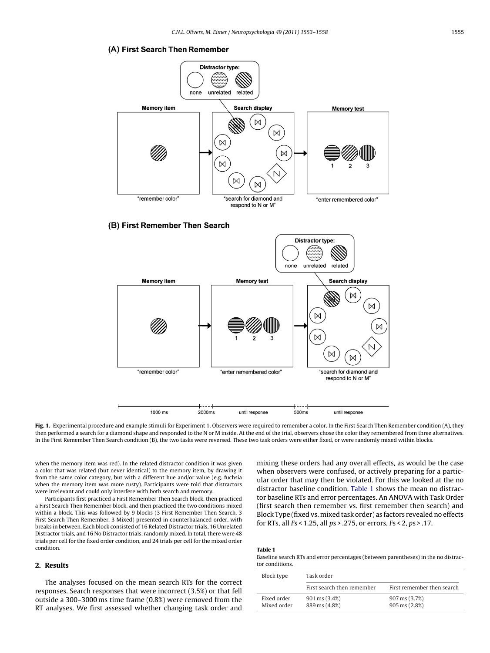## <span id="page-2-0"></span>(A) First Search Then Remember



## (B) First Remember Then Search



Fig. 1. Experimental procedure and example stimuli for Experiment 1. Observers were required to remember a color. In the First Search Then Remember condition (A), they then performed a search for a diamond shape and responded to the N or M inside. At the end of the trial, observers chose the color they remembered from three alternatives. In the First Remember Then Search condition (B), the two tasks were reversed. These two task orders were either fixed, or were randomly mixed within blocks.

when the memory item was red). In the related distractor condition it was given a color that was related (but never identical) to the memory item, by drawing it from the same color category, but with a different hue and/or value (e.g. fuchsia when the memory item was more rusty). Participants were told that distractors were irrelevant and could only interfere with both search and memory.

Participants first practiced a First Remember Then Search block, then practiced a First Search Then Remember block, and then practiced the two conditions mixed within a block. This was followed by 9 blocks (3 First Remember Then Search, 3 First Search Then Remember, 3 Mixed) presented in counterbalanced order, with breaks in between. Each block consisted of 16 Related Distractor trials, 16 Unrelated Distractor trials, and 16 No Distractor trials, randomly mixed. In total, there were 48 trials per cell for the fixed order condition, and 24 trials per cell for the mixed order condition.

## **2. Results**

The analyses focused on the mean search RTs for the correct responses. Search responses that were incorrect (3.5%) or that fell outside a 300–3000 ms time frame (0.8%) were removed from the RT analyses. We first assessed whether changing task order and

mixing these orders had any overall effects, as would be the case when observers were confused, or actively preparing for a particular order that may then be violated. For this we looked at the no distractor baseline condition. Table 1 shows the mean no distractor baseline RTs and error percentages. An ANOVA with Task Order (first search then remember vs. first remember then search) and Block Type (fixed vs. mixed task order) as factors revealed no effects for RTs, all Fs < 1.25, all ps > .275, or errors, Fs < 2, ps > .17.

#### **Table 1**

Baseline search RTs and error percentages (between parentheses) in the no distractor conditions.

| Block type                 | Task order                                |                                |
|----------------------------|-------------------------------------------|--------------------------------|
|                            | First search then remember                | First remember then search     |
| Fixed order<br>Mixed order | $901 \text{ ms} (3.4\%)$<br>889 ms (4.8%) | 907 ms (3.7%)<br>905 ms (2.8%) |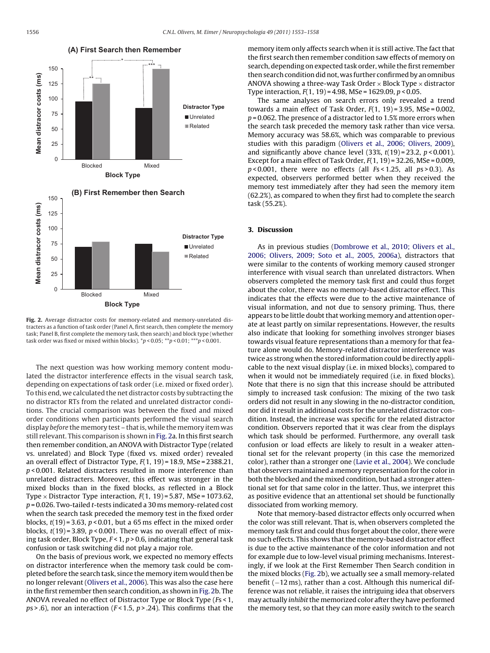

## **(A) First Search then Remember**

**Fig. 2.** Average distractor costs for memory-related and memory-unrelated distracters as a function of task order (Panel A, first search, then complete the memory task; Panel B, first complete the memory task, then search) and block type (whether task order was fixed or mixed within blocks).  $\sp{\ast}p < 0.05$ ;  $\sp{\ast} \sp{\ast}p < 0.01$ ;  $\sp{\ast} \sp{\ast}p < 0.001$ .

The next question was how working memory content modulated the distractor interference effects in the visual search task, depending on expectations of task order (i.e. mixed or fixed order). To this end, we calculated the net distractor costs by subtracting the no distractor RTs from the related and unrelated distractor conditions. The crucial comparison was between the fixed and mixed order conditions when participants performed the visual search display before the memory test – that is, while the memory item was still relevant. This comparison is shown in Fig. 2a. In this first search then remember condition, an ANOVA with Distractor Type (related vs. unrelated) and Block Type (fixed vs. mixed order) revealed an overall effect of Distractor Type,  $F(1, 19)$  = 18.9, MSe = 2388.21,  $p$  < 0.001. Related distracters resulted in more interference than unrelated distracters. Moreover, this effect was stronger in the mixed blocks than in the fixed blocks, as reflected in a Block Type  $\times$  Distractor Type interaction,  $F(1, 19)$  = 5.87, MSe = 1073.62,  $p = 0.026$ . Two-tailed t-tests indicated a 30 ms memory-related cost when the search task preceded the memory test in the fixed order blocks,  $t(19) = 3.63$ ,  $p < 0.01$ , but a 65 ms effect in the mixed order blocks,  $t(19) = 3.89$ ,  $p < 0.001$ . There was no overall effect of mixing task order, Block Type,  $F < 1$ ,  $p > 0.6$ , indicating that general task confusion or task switching did not play a major role.

On the basis of previous work, we expected no memory effects on distractor interference when the memory task could be completed before the search task, since the memory item would then be no longer relevant [\(Olivers et al., 2006\).](#page-5-0) This was also the case here in the first remember then search condition, as shown in Fig. 2b. The ANOVA revealed no effect of Distractor Type or Block Type (Fs < 1,  $ps > .6$ ), nor an interaction ( $F < 1.5$ ,  $p > .24$ ). This confirms that the memory item only affects search when it is still active. The fact that the first search then remember condition saw effects of memory on search, depending on expected task order, while the first remember then search condition did not, was further confirmed by an omnibus ANOVA showing a three-way Task Order  $\times$  Block Type  $\times$  distractor Type interaction,  $F(1, 19) = 4.98$ , MSe = 1629.09,  $p < 0.05$ .

The same analyses on search errors only revealed a trend towards a main effect of Task Order,  $F(1, 19) = 3.95$ , MSe = 0.002,  $p = 0.062$ . The presence of a distractor led to 1.5% more errors when the search task preceded the memory task rather than vice versa. Memory accuracy was 58.6%, which was comparable to previous studies with this paradigm ([Olivers et al., 2006; Olivers, 2009\),](#page-5-0) and significantly above chance level  $(33\%, t(19) = 23.2, p < 0.001)$ . Except for a main effect of Task Order,  $F(1, 19) = 32.26$ , MSe = 0.009,  $p$  < 0.001, there were no effects (all  $Fs$  < 1.25, all  $ps$  > 0.3). As expected, observers performed better when they received the memory test immediately after they had seen the memory item (62.2%), as compared to when they first had to complete the search task (55.2%).

## **3. Discussion**

As in previous studies [\(Dombrowe et al., 2010; Olivers et al.,](#page-4-0) [2006; Olivers, 2009; Soto et al., 2005, 2006a\),](#page-4-0) distractors that were similar to the contents of working memory caused stronger interference with visual search than unrelated distractors. When observers completed the memory task first and could thus forget about the color, there was no memory-based distractor effect. This indicates that the effects were due to the active maintenance of visual information, and not due to sensory priming. Thus, there appears to be little doubt that working memory and attention operate at least partly on similar representations. However, the results also indicate that looking for something involves stronger biases towards visual feature representations than a memory for that feature alone would do. Memory-related distractor interference was twice as strong when the stored information could be directly applicable to the next visual display (i.e. in mixed blocks), compared to when it would not be immediately required (i.e. in fixed blocks). Note that there is no sign that this increase should be attributed simply to increased task confusion: The mixing of the two task orders did not result in any slowing in the no-distractor condition, nor did it result in additional costs for the unrelated distractor condition. Instead, the increase was specific for the related distractor condition. Observers reported that it was clear from the displays which task should be performed. Furthermore, any overall task confusion or load effects are likely to result in a weaker attentional set for the relevant property (in this case the memorized color), rather than a stronger one ([Lavie et al., 2004\).](#page-4-0) We conclude that observers maintained a memory representation for the color in both the blocked and the mixed condition, but had a stronger attentional set for that same color in the latter. Thus, we interpret this as positive evidence that an attentional set should be functionally dissociated from working memory.

Note that memory-based distractor effects only occurred when the color was still relevant. That is, when observers completed the memory task first and could thus forget about the color, there were no such effects. This shows that the memory-based distractor effect is due to the active maintenance of the color information and not for example due to low-level visual priming mechanisms. Interestingly, if we look at the First Remember Then Search condition in the mixed blocks (Fig. 2b), we actually see a small memory-related benefit (−12 ms), rather than a cost. Although this numerical difference was not reliable, it raises the intriguing idea that observers may actually *inhibit* the memorized color after they have performed the memory test, so that they can more easily switch to the search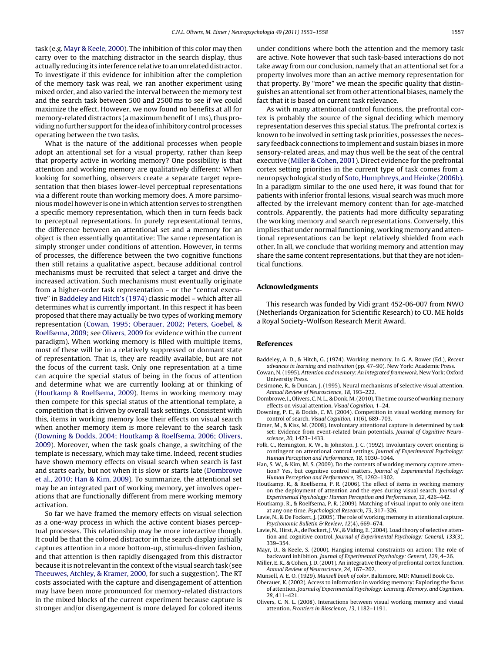<span id="page-4-0"></span>task (e.g. Mayr & Keele, 2000). The inhibition of this color may then carry over to the matching distractor in the search display, thus actually reducing its interference relative to an unrelated distractor. To investigate if this evidence for inhibition after the completion of the memory task was real, we ran another experiment using mixed order, and also varied the interval between the memory test and the search task between 500 and 2500 ms to see if we could maximize the effect. However, we now found no benefits at all for memory-related distractors (a maximum benefit of 1 ms), thus providing no further support for the idea of inhibitory control processes operating between the two tasks.

What is the nature of the additional processes when people adopt an attentional set for a visual property, rather than keep that property active in working memory? One possibility is that attention and working memory are qualitatively different: When looking for something, observers create a separate target representation that then biases lower-level perceptual representations via a different route than working memory does. A more parsimonious model however is one in which attention serves to strengthen a specific memory representation, which then in turn feeds back to perceptual representations. In purely representational terms, the difference between an attentional set and a memory for an object is then essentially quantitative: The same representation is simply stronger under conditions of attention. However, in terms of processes, the difference between the two cognitive functions then still retains a qualitative aspect, because additional control mechanisms must be recruited that select a target and drive the increased activation. Such mechanisms must eventually originate from a higher-order task representation – or the "central executive" in Baddeley and Hitch's (1974) classic model – which after all determines what is currently important. In this respect it has been proposed that there may actually be two types of working memory representation (Cowan, 1995; Oberauer, 2002; Peters, Goebel, & Roelfsema, 2009; see [Olivers, 2009](#page-5-0) for evidence within the current paradigm). When working memory is filled with multiple items, most of these will be in a relatively suppressed or dormant state of representation. That is, they are readily available, but are not the focus of the current task. Only one representation at a time can acquire the special status of being in the focus of attention and determine what we are currently looking at or thinking of (Houtkamp & Roelfsema, 2009). Items in working memory may then compete for this special status of the attentional template, a competition that is driven by overall task settings. Consistent with this, items in working memory lose their effects on visual search when another memory item is more relevant to the search task (Downing & Dodds, 2004; Houtkamp & Roelfsema, 2006; Olivers, 2009). Moreover, when the task goals change, a switching of the template is necessary, which may take time. Indeed, recent studies have shown memory effects on visual search when search is fast and starts early, but not when it is slow or starts late (Dombrowe et al., 2010; Han & Kim, 2009). To summarize, the attentional set may be an integrated part of working memory, yet involves operations that are functionally different from mere working memory activation.

So far we have framed the memory effects on visual selection as a one-way process in which the active content biases perceptual processes. This relationship may be more interactive though. It could be that the colored distractor in the search display initially captures attention in a more bottom-up, stimulus-driven fashion, and that attention is then rapidly disengaged from this distractor because it is not relevant in the context of the visual search task (see [Theeuwes, Atchley, & Kramer, 2000, f](#page-5-0)or such a suggestion). The RT costs associated with the capture and disengagement of attention may have been more pronounced for memory-related distractors in the mixed blocks of the current experiment because capture is stronger and/or disengagement is more delayed for colored items under conditions where both the attention and the memory task are active. Note however that such task-based interactions do not take away from our conclusion, namely that an attentional set for a property involves more than an active memory representation for that property. By "more" we mean the specific quality that distinguishes an attentional set from other attentional biases, namely the fact that it is based on current task relevance.

As with many attentional control functions, the prefrontal cortex is probably the source of the signal deciding which memory representation deserves this special status. The prefrontal cortex is known to be involved in setting task priorities, possesses the necessary feedback connections to implement and sustain biases in more sensory-related areas, and may thus well be the seat of the central executive (Miller & Cohen, 2001). Direct evidence for the prefrontal cortex setting priorities in the current type of task comes from a neuropsychological study of [Soto, Humphreys, and Heinke \(2006b\).](#page-5-0) In a paradigm similar to the one used here, it was found that for patients with inferior frontal lesions, visual search was much more affected by the irrelevant memory content than for age-matched controls. Apparently, the patients had more difficulty separating the working memory and search representations. Conversely, this implies that under normal functioning, working memory and attentional representations can be kept relatively shielded from each other. In all, we conclude that working memory and attention may share the same content representations, but that they are not identical functions.

## **Acknowledgments**

This research was funded by Vidi grant 452-06-007 from NWO (Netherlands Organization for Scientific Research) to CO. ME holds a Royal Society-Wolfson Research Merit Award.

## **References**

- Baddeley, A. D., & Hitch, G. (1974). Working memory. In G. A. Bower (Ed.), Recent advances in learning and motivation (pp. 47–90). New York: Academic Press.
- Cowan, N. (1995). Attention and memory: An integrated framework. New York: Oxford University Press.
- Desimone, R., & Duncan, J. (1995). Neural mechanisms of selective visual attention. Annual Review of Neuroscience, 18, 193–222.
- Dombrowe, I., Olivers, C. N. L., & Donk, M. (2010). The time course of working memory effects on visual attention. Visual Cognition, 1–24.
- Downing, P. E., & Dodds, C. M. (2004). Competition in visual working memory for control of search. Visual Cognition, 11(6), 689–703.
- Eimer, M., & Kiss, M. (2008). Involuntary attentional capture is determined by task set: Evidence from event-related brain potentials. Journal of Cognitive Neuroscience, 20, 1423–1433.
- Folk, C., Remington, R. W., & Johnston, J. C. (1992). Involuntary covert orienting is contingent on attentional control settings. Journal of Experimental Psychology: Human Perception and Performance, 18, 1030–1044.
- Han, S. W., & Kim, M. S. (2009). Do the contents of working memory capture attention? Yes, but cognitive control matters. Journal of Experimental Psychology: Human Perception and Performance, 35, 1292–1302.
- Houtkamp, R., & Roelfsema, P. R. (2006). The effect of items in working memory on the deployment of attention and the eyes during visual search. Journal of Experimental Psychology: Human Perception and Performance, 32, 426–442.
- Houtkamp, R., & Roelfsema, P. R. (2009). Matching of visual input to only one item at any one time. Psychological Research, 73, 317–326.
- Lavie, N., & De Fockert, J. (2005). The role of working memory in attentional capture. Psychonomic Bulletin & Review, 12(4), 669–674.
- Lavie, N., Hirst, A., de Fockert, J.W., & Viding, E. (2004). Load theory of selective attention and cognitive control. Journal of Experimental Psychology: General, 133(3), 339–354.
- Mayr, U., & Keele, S. (2000). Hanging internal constraints on action: The role of backward inhibition. Journal of Experimental Psychology: General, 129, 4–26.
- Miller, E. K., & Cohen, J. D. (2001). An integrative theory of prefrontal cortex function. Annual Review of Neuroscience, 24, 167–202.
- Munsell, A. E. O. (1929). Munsell book of color. Baltimore, MD: Munsell Book Co.
- Oberauer, K. (2002). Access to information in working memory: Exploring the focus of attention. Journal of Experimental Psychology: Learning, Memory, and Cognition, 28, 411–421.
- Olivers, C. N. L. (2008). Interactions between visual working memory and visual attention. Frontiers in Bioscience, 13, 1182–1191.